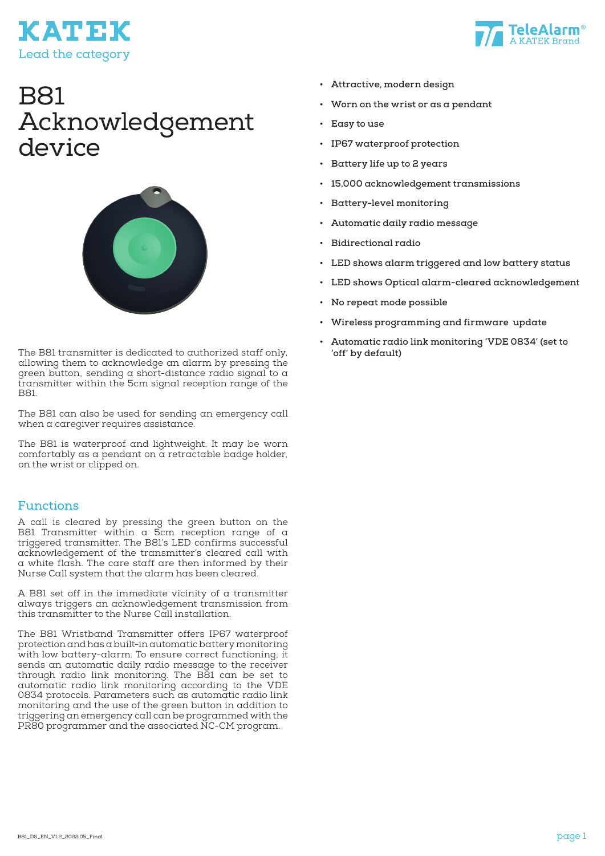



# B81 Acknowledgement device



The B81 transmitter is dedicated to authorized staff only, allowing them to acknowledge an alarm by pressing the green button, sending a short-distance radio signal to a transmitter within the 5cm signal reception range of the B81.

The B81 can also be used for sending an emergency call when a caregiver requires assistance.

The B81 is waterproof and lightweight. It may be worn comfortably as a pendant on  $\alpha$  retractable badge holder, on the wrist or clipped on.

#### Functions

A call is cleared by pressing the green button on the B81 Transmitter within  $\alpha$  5cm reception range of  $\alpha$ triggered transmitter. The B81's LED confirms successful acknowledgement of the transmitter's cleared call with a white flash. The care staff are then informed by their Nurse Call system that the alarm has been cleared.

A B81 set off in the immediate vicinity of a transmitter always triggers an acknowledgement transmission from this transmitter to the Nurse Call installation.

The B81 Wristband Transmitter offers IP67 waterproof protection and has a built-in automatic battery monitoring with low battery-alarm. To ensure correct functioning, it sends an automatic daily radio message to the receiver through radio link monitoring. The B81 can be set to automatic radio link monitoring according to the VDE 0834 protocols. Parameters such as automatic radio link monitoring and the use of the green button in addition to triggering an emergency call can be programmed with the PR80 programmer and the associated NC-CM program.

- **• Attractive, modern design**
- **• Worn on the wrist or as a pendant**
- **• Easy to use**
- **• IP67 waterproof protection**
- **• Battery life up to 2 years**
- **• 15,000 acknowledgement transmissions**
- **• Battery-level monitoring**
- **• Automatic daily radio message**
- **• Bidirectional radio**
- **• LED shows alarm triggered and low battery status**
- **• LED shows Optical alarm-cleared acknowledgement**
- **• No repeat mode possible**
- **• Wireless programming and firmware update**
- **• Automatic radio link monitoring 'VDE 0834' (set to 'off' by default)**